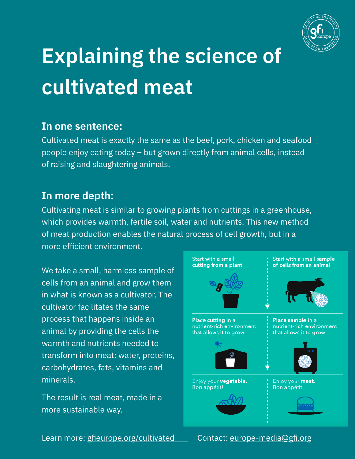

# **Explaining the science of cultivated meat**

#### **In one sentence:**

Cultivated meat is exactly the same as the beef, pork, chicken and seafood people enjoy eating today – but grown directly from animal cells, instead of raising and slaughtering animals.

### **In more depth:**

Cultivating meat is similar to growing plants from cuttings in a greenhouse, which provides warmth, fertile soil, water and nutrients. This new method of meat production enables the natural process of cell growth, but in a more efficient environment.

We take a small, harmless sample of cells from an animal and grow them in what is known as a cultivator. The cultivator facilitates the same process that happens inside an animal by providing the cells the warmth and nutrients needed to transform into meat: water, proteins, carbohydrates, fats, vitamins and minerals.

The result is real meat, made in a more sustainable way.



Learn more: [gfieurope.org/cultivated](https://gfieurope.org/cultivated) Contact: [europe-media@gfi.org](mailto:europe-media@gfi.org)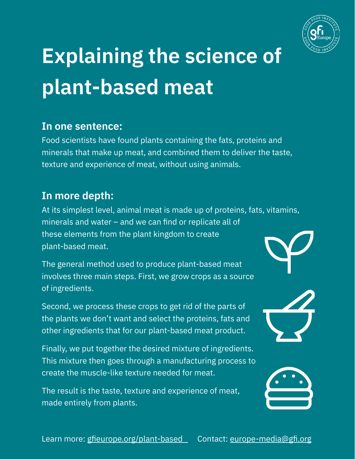

# **Explaining the science of plant-based meat**

### **In one sentence:**

Food scientists have found plants containing the fats, proteins and minerals that make up meat, and combined them to deliver the taste, texture and experience of meat, without using animals.

### **In more depth:**

At its simplest level, animal meat is made up of proteins, fats, vitamins, minerals and water – and we can find or replicate all of these elements from the plant kingdom to create plant-based meat.

The general method used to produce plant-based meat involves three main steps. First, we grow crops as a source of ingredients.

Second, we process these crops to get rid of the parts of the plants we don't want and select the proteins, fats and other ingredients that for our plant-based meat product.

Finally, we put together the desired mixture of ingredients. This mixture then goes through a manufacturing process to create the muscle-like texture needed for meat.

The result is the taste, texture and experience of meat, made entirely from plants.